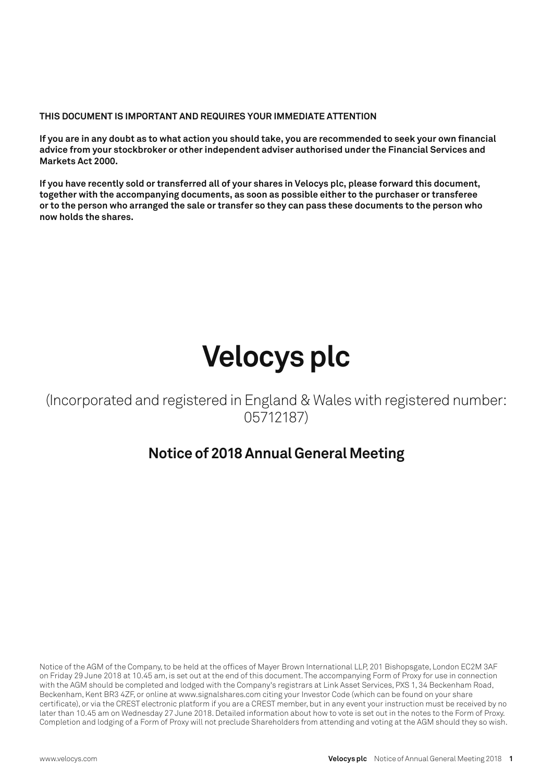**THIS DOCUMENT IS IMPORTANT AND REQUIRES YOUR IMMEDIATE ATTENTION**

**If you are in any doubt as to what action you should take, you are recommended to seek your own financial advice from your stockbroker or other independent adviser authorised under the Financial Services and Markets Act 2000.**

**If you have recently sold or transferred all of your shares in Velocys plc, please forward this document, together with the accompanying documents, as soon as possible either to the purchaser or transferee or to the person who arranged the sale or transfer so they can pass these documents to the person who now holds the shares.**

# **Velocys plc**

(Incorporated and registered in England & Wales with registered number: 05712187)

### **Notice of 2018 Annual General Meeting**

Notice of the AGM of the Company, to be held at the offices of Mayer Brown International LLP, 201 Bishopsgate, London EC2M 3AF on Friday 29 June 2018 at 10.45 am, is set out at the end of this document. The accompanying Form of Proxy for use in connection with the AGM should be completed and lodged with the Company's registrars at Link Asset Services, PXS 1, 34 Beckenham Road, Beckenham, Kent BR3 4ZF, or online at www.signalshares.com citing your Investor Code (which can be found on your share certificate), or via the CREST electronic platform if you are a CREST member, but in any event your instruction must be received by no later than 10.45 am on Wednesday 27 June 2018. Detailed information about how to vote is set out in the notes to the Form of Proxy. Completion and lodging of a Form of Proxy will not preclude Shareholders from attending and voting at the AGM should they so wish.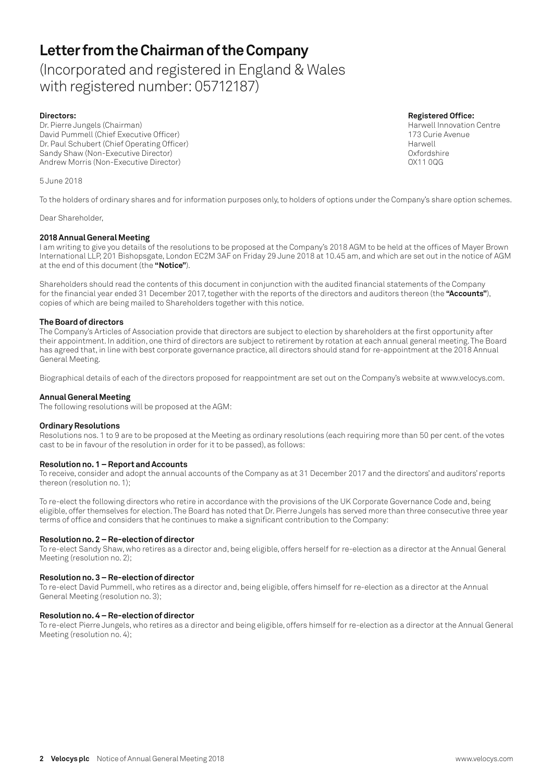### **Letter from the Chairman of the Company**

(Incorporated and registered in England & Wales with registered number: 05712187)

**Directors: Registered Office:** Dr. Pierre Jungels (Chairman) David Pummell (Chief Executive Officer)<br>Dr. Paul Schubert (Chief Operating Officer) 173 Curie Avenue Dr. Paul Schubert (Chief Operating Officer) Sandy Shaw (Non-Executive Director)<br>Andrew Morris (Non-Executive Director) OX11 00G Andrew Morris (Non-Executive Director)

5 June 2018

To the holders of ordinary shares and for information purposes only, to holders of options under the Company's share option schemes.

Dear Shareholder,

### **2018 Annual General Meeting**

I am writing to give you details of the resolutions to be proposed at the Company's 2018 AGM to be held at the offices of Mayer Brown International LLP, 201 Bishopsgate, London EC2M 3AF on Friday 29 June 2018 at 10.45 am, and which are set out in the notice of AGM at the end of this document (the **"Notice"**).

Shareholders should read the contents of this document in conjunction with the audited financial statements of the Company for the financial year ended 31 December 2017, together with the reports of the directors and auditors thereon (the **"Accounts"**), copies of which are being mailed to Shareholders together with this notice.

#### **The Board of directors**

The Company's Articles of Association provide that directors are subject to election by shareholders at the first opportunity after their appointment. In addition, one third of directors are subject to retirement by rotation at each annual general meeting. The Board has agreed that, in line with best corporate governance practice, all directors should stand for re-appointment at the 2018 Annual General Meeting.

Biographical details of each of the directors proposed for reappointment are set out on the Company's website at www.velocys.com.

### **Annual General Meeting**

The following resolutions will be proposed at the AGM:

#### **Ordinary Resolutions**

Resolutions nos. 1 to 9 are to be proposed at the Meeting as ordinary resolutions (each requiring more than 50 per cent. of the votes cast to be in favour of the resolution in order for it to be passed), as follows:

### **Resolution no. 1 – Report and Accounts**

To receive, consider and adopt the annual accounts of the Company as at 31 December 2017 and the directors' and auditors' reports thereon (resolution no. 1);

To re-elect the following directors who retire in accordance with the provisions of the UK Corporate Governance Code and, being eligible, offer themselves for election. The Board has noted that Dr. Pierre Jungels has served more than three consecutive three year terms of office and considers that he continues to make a significant contribution to the Company:

#### **Resolution no. 2 – Re-election of director**

To re-elect Sandy Shaw, who retires as a director and, being eligible, offers herself for re-election as a director at the Annual General Meeting (resolution no. 2);

#### **Resolution no. 3 – Re-election of director**

To re-elect David Pummell, who retires as a director and, being eligible, offers himself for re-election as a director at the Annual General Meeting (resolution no. 3);

#### **Resolution no. 4 – Re-election of director**

To re-elect Pierre Jungels, who retires as a director and being eligible, offers himself for re-election as a director at the Annual General Meeting (resolution no. 4);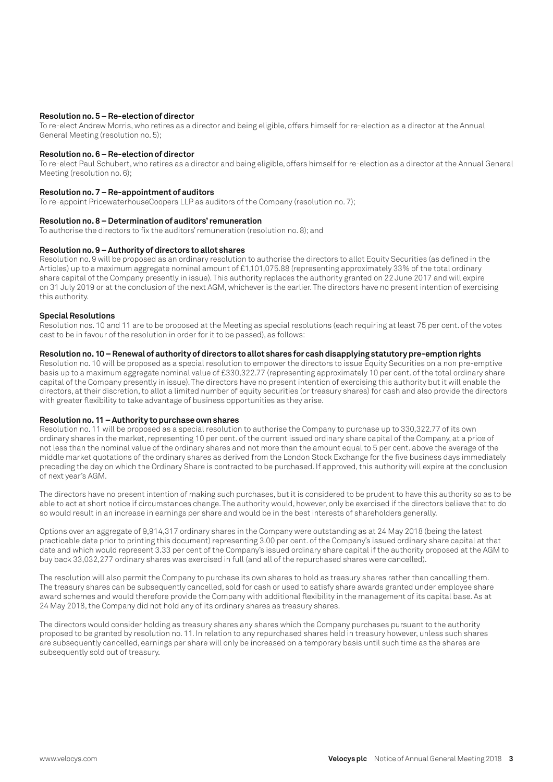#### **Resolution no. 5 – Re-election of director**

To re-elect Andrew Morris, who retires as a director and being eligible, offers himself for re-election as a director at the Annual General Meeting (resolution no. 5);

#### **Resolution no. 6 – Re-election of director**

To re-elect Paul Schubert, who retires as a director and being eligible, offers himself for re-election as a director at the Annual General Meeting (resolution no. 6);

#### **Resolution no. 7 – Re-appointment of auditors**

To re-appoint PricewaterhouseCoopers LLP as auditors of the Company (resolution no. 7);

#### **Resolution no. 8 – Determination of auditors' remuneration**

To authorise the directors to fix the auditors' remuneration (resolution no. 8); and

#### **Resolution no. 9 – Authority of directors to allot shares**

Resolution no. 9 will be proposed as an ordinary resolution to authorise the directors to allot Equity Securities (as defined in the Articles) up to a maximum aggregate nominal amount of £1,101,075.88 (representing approximately 33% of the total ordinary share capital of the Company presently in issue). This authority replaces the authority granted on 22 June 2017 and will expire on 31 July 2019 or at the conclusion of the next AGM, whichever is the earlier. The directors have no present intention of exercising this authority.

#### **Special Resolutions**

Resolution nos. 10 and 11 are to be proposed at the Meeting as special resolutions (each requiring at least 75 per cent. of the votes cast to be in favour of the resolution in order for it to be passed), as follows:

#### **Resolution no. 10 – Renewal of authority of directors to allot shares for cash disapplying statutory pre-emption rights**

Resolution no. 10 will be proposed as a special resolution to empower the directors to issue Equity Securities on a non pre-emptive basis up to a maximum aggregate nominal value of £330,322.77 (representing approximately 10 per cent. of the total ordinary share capital of the Company presently in issue). The directors have no present intention of exercising this authority but it will enable the directors, at their discretion, to allot a limited number of equity securities (or treasury shares) for cash and also provide the directors with greater flexibility to take advantage of business opportunities as they arise.

#### **Resolution no. 11 – Authority to purchase own shares**

Resolution no. 11 will be proposed as a special resolution to authorise the Company to purchase up to 330,322.77 of its own ordinary shares in the market, representing 10 per cent. of the current issued ordinary share capital of the Company, at a price of not less than the nominal value of the ordinary shares and not more than the amount equal to 5 per cent. above the average of the middle market quotations of the ordinary shares as derived from the London Stock Exchange for the five business days immediately preceding the day on which the Ordinary Share is contracted to be purchased. If approved, this authority will expire at the conclusion of next year's AGM.

The directors have no present intention of making such purchases, but it is considered to be prudent to have this authority so as to be able to act at short notice if circumstances change. The authority would, however, only be exercised if the directors believe that to do so would result in an increase in earnings per share and would be in the best interests of shareholders generally.

Options over an aggregate of 9,914,317 ordinary shares in the Company were outstanding as at 24 May 2018 (being the latest practicable date prior to printing this document) representing 3.00 per cent. of the Company's issued ordinary share capital at that date and which would represent 3.33 per cent of the Company's issued ordinary share capital if the authority proposed at the AGM to buy back 33,032,277 ordinary shares was exercised in full (and all of the repurchased shares were cancelled).

The resolution will also permit the Company to purchase its own shares to hold as treasury shares rather than cancelling them. The treasury shares can be subsequently cancelled, sold for cash or used to satisfy share awards granted under employee share award schemes and would therefore provide the Company with additional flexibility in the management of its capital base. As at 24 May 2018, the Company did not hold any of its ordinary shares as treasury shares.

The directors would consider holding as treasury shares any shares which the Company purchases pursuant to the authority proposed to be granted by resolution no. 11. In relation to any repurchased shares held in treasury however, unless such shares are subsequently cancelled, earnings per share will only be increased on a temporary basis until such time as the shares are subsequently sold out of treasury.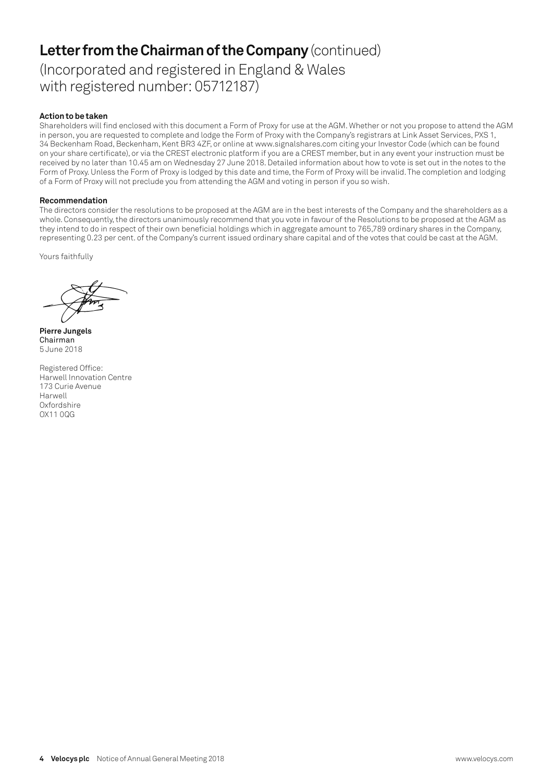# **Letter from the Chairman of the Company** (continued)

(Incorporated and registered in England & Wales with registered number: 05712187)

### **Action to be taken**

Shareholders will find enclosed with this document a Form of Proxy for use at the AGM. Whether or not you propose to attend the AGM in person, you are requested to complete and lodge the Form of Proxy with the Company's registrars at Link Asset Services, PXS 1, 34 Beckenham Road, Beckenham, Kent BR3 4ZF, or online at www.signalshares.com citing your Investor Code (which can be found on your share certificate), or via the CREST electronic platform if you are a CREST member, but in any event your instruction must be received by no later than 10.45 am on Wednesday 27 June 2018. Detailed information about how to vote is set out in the notes to the Form of Proxy. Unless the Form of Proxy is lodged by this date and time, the Form of Proxy will be invalid. The completion and lodging of a Form of Proxy will not preclude you from attending the AGM and voting in person if you so wish.

### **Recommendation**

The directors consider the resolutions to be proposed at the AGM are in the best interests of the Company and the shareholders as a whole. Consequently, the directors unanimously recommend that you vote in favour of the Resolutions to be proposed at the AGM as they intend to do in respect of their own beneficial holdings which in aggregate amount to 765,789 ordinary shares in the Company, representing 0.23 per cent. of the Company's current issued ordinary share capital and of the votes that could be cast at the AGM.

Yours faithfully

**Pierre Jungels** Chairman 5 June 2018

Registered Office: Harwell Innovation Centre 173 Curie Avenue Harwell Oxfordshire OX11 0QG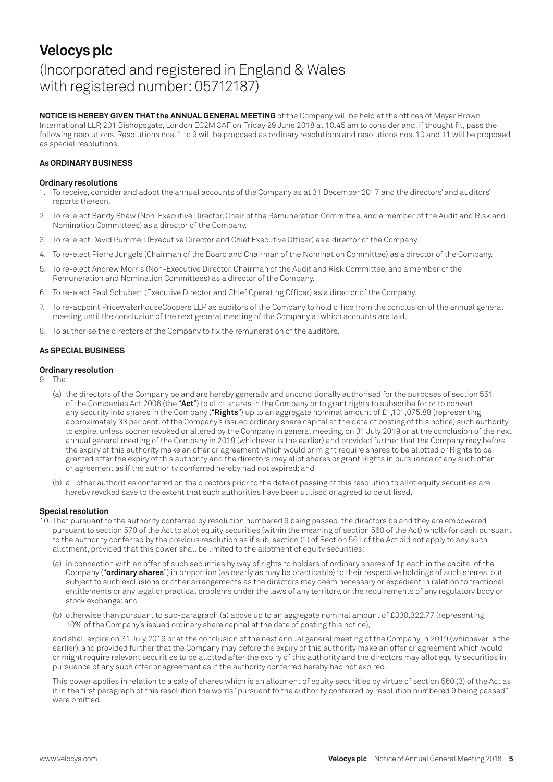### **Velocys plc** (Incorporated and registered in England & Wales with registered number: 05712187)

**NOTICE IS HEREBY GIVEN THAT the ANNUAL GENERAL MEETING** of the Company will be held at the offices of Mayer Brown International LLP, 201 Bishopsgate, London EC2M 3AF on Friday 29 June 2018 at 10.45 am to consider and, if thought fit, pass the following resolutions. Resolutions nos. 1 to 9 will be proposed as ordinary resolutions and resolutions nos. 10 and 11 will be proposed as special resolutions.

### **As ORDINARY BUSINESS**

#### **Ordinary resolutions**

- 1. To receive, consider and adopt the annual accounts of the Company as at 31 December 2017 and the directors' and auditors' reports thereon.
- 2. To re-elect Sandy Shaw (Non-Executive Director, Chair of the Remuneration Committee, and a member of the Audit and Risk and Nomination Committees) as a director of the Company.
- 3. To re-elect David Pummell (Executive Director and Chief Executive Officer) as a director of the Company.
- 4. To re-elect Pierre Jungels (Chairman of the Board and Chairman of the Nomination Committee) as a director of the Company.
- 5. To re-elect Andrew Morris (Non-Executive Director, Chairman of the Audit and Risk Committee, and a member of the Remuneration and Nomination Committees) as a director of the Company.
- 6. To re-elect Paul Schubert (Executive Director and Chief Operating Officer) as a director of the Company.
- 7. To re-appoint PricewaterhouseCoopers LLP as auditors of the Company to hold office from the conclusion of the annual general meeting until the conclusion of the next general meeting of the Company at which accounts are laid.
- 8. To authorise the directors of the Company to fix the remuneration of the auditors.

#### **As SPECIAL BUSINESS**

#### **Ordinary resolution**

- 9. That
	- (a) the directors of the Company be and are hereby generally and unconditionally authorised for the purposes of section 551 of the Companies Act 2006 (the "**Act**") to allot shares in the Company or to grant rights to subscribe for or to convert any security into shares in the Company ("**Rights**") up to an aggregate nominal amount of £1,101,075.88 (representing approximately 33 per cent. of the Company's issued ordinary share capital at the date of posting of this notice) such authority to expire, unless sooner revoked or altered by the Company in general meeting, on 31 July 2019 or at the conclusion of the next annual general meeting of the Company in 2019 (whichever is the earlier) and provided further that the Company may before the expiry of this authority make an offer or agreement which would or might require shares to be allotted or Rights to be granted after the expiry of this authority and the directors may allot shares or grant Rights in pursuance of any such offer or agreement as if the authority conferred hereby had not expired; and
	- (b) all other authorities conferred on the directors prior to the date of passing of this resolution to allot equity securities are hereby revoked save to the extent that such authorities have been utilised or agreed to be utilised.

#### **Special resolution**

- 10. That pursuant to the authority conferred by resolution numbered 9 being passed, the directors be and they are empowered pursuant to section 570 of the Act to allot equity securities (within the meaning of section 560 of the Act) wholly for cash pursuant to the authority conferred by the previous resolution as if sub-section (1) of Section 561 of the Act did not apply to any such allotment, provided that this power shall be limited to the allotment of equity securities:
	- (a) in connection with an offer of such securities by way of rights to holders of ordinary shares of 1p each in the capital of the Company ("**ordinary shares**") in proportion (as nearly as may be practicable) to their respective holdings of such shares, but subject to such exclusions or other arrangements as the directors may deem necessary or expedient in relation to fractional entitlements or any legal or practical problems under the laws of any territory, or the requirements of any regulatory body or stock exchange; and
	- (b) otherwise than pursuant to sub-paragraph (a) above up to an aggregate nominal amount of £330,322.77 (representing 10% of the Company's issued ordinary share capital at the date of posting this notice),

and shall expire on 31 July 2019 or at the conclusion of the next annual general meeting of the Company in 2019 (whichever is the earlier), and provided further that the Company may before the expiry of this authority make an offer or agreement which would or might require relevant securities to be allotted after the expiry of this authority and the directors may allot equity securities in pursuance of any such offer or agreement as if the authority conferred hereby had not expired.

This power applies in relation to a sale of shares which is an allotment of equity securities by virtue of section 560 (3) of the Act as if in the first paragraph of this resolution the words "pursuant to the authority conferred by resolution numbered 9 being passed" were omitted.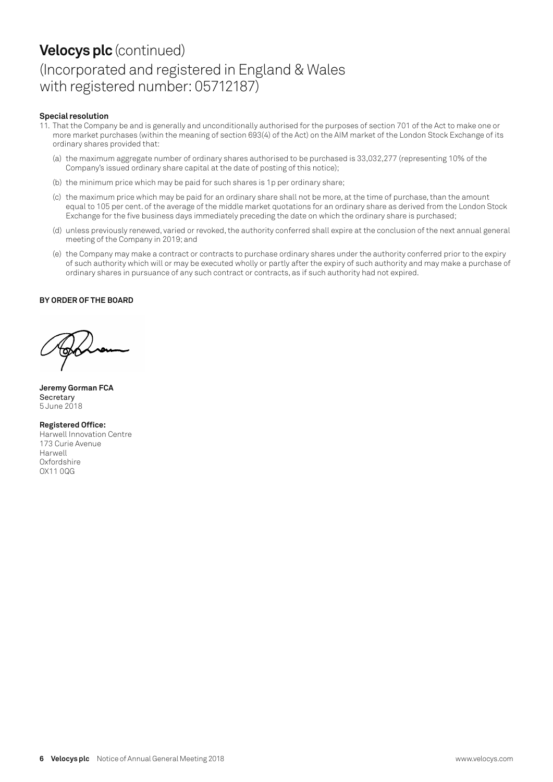## **Velocys plc** (continued) (Incorporated and registered in England & Wales with registered number: 05712187)

#### **Special resolution**

- 11. That the Company be and is generally and unconditionally authorised for the purposes of section 701 of the Act to make one or more market purchases (within the meaning of section 693(4) of the Act) on the AIM market of the London Stock Exchange of its ordinary shares provided that:
	- (a) the maximum aggregate number of ordinary shares authorised to be purchased is 33,032,277 (representing 10% of the Company's issued ordinary share capital at the date of posting of this notice);
	- (b) the minimum price which may be paid for such shares is 1p per ordinary share;
	- (c) the maximum price which may be paid for an ordinary share shall not be more, at the time of purchase, than the amount equal to 105 per cent. of the average of the middle market quotations for an ordinary share as derived from the London Stock Exchange for the five business days immediately preceding the date on which the ordinary share is purchased;
	- (d) unless previously renewed, varied or revoked, the authority conferred shall expire at the conclusion of the next annual general meeting of the Company in 2019; and
	- (e) the Company may make a contract or contracts to purchase ordinary shares under the authority conferred prior to the expiry of such authority which will or may be executed wholly or partly after the expiry of such authority and may make a purchase of ordinary shares in pursuance of any such contract or contracts, as if such authority had not expired.

#### **BY ORDER OF THE BOARD**

**Jeremy Gorman FCA Secretary** 5 June 2018

#### **Registered Office:**

Harwell Innovation Centre 173 Curie Avenue Harwell Oxfordshire OX11 0QG